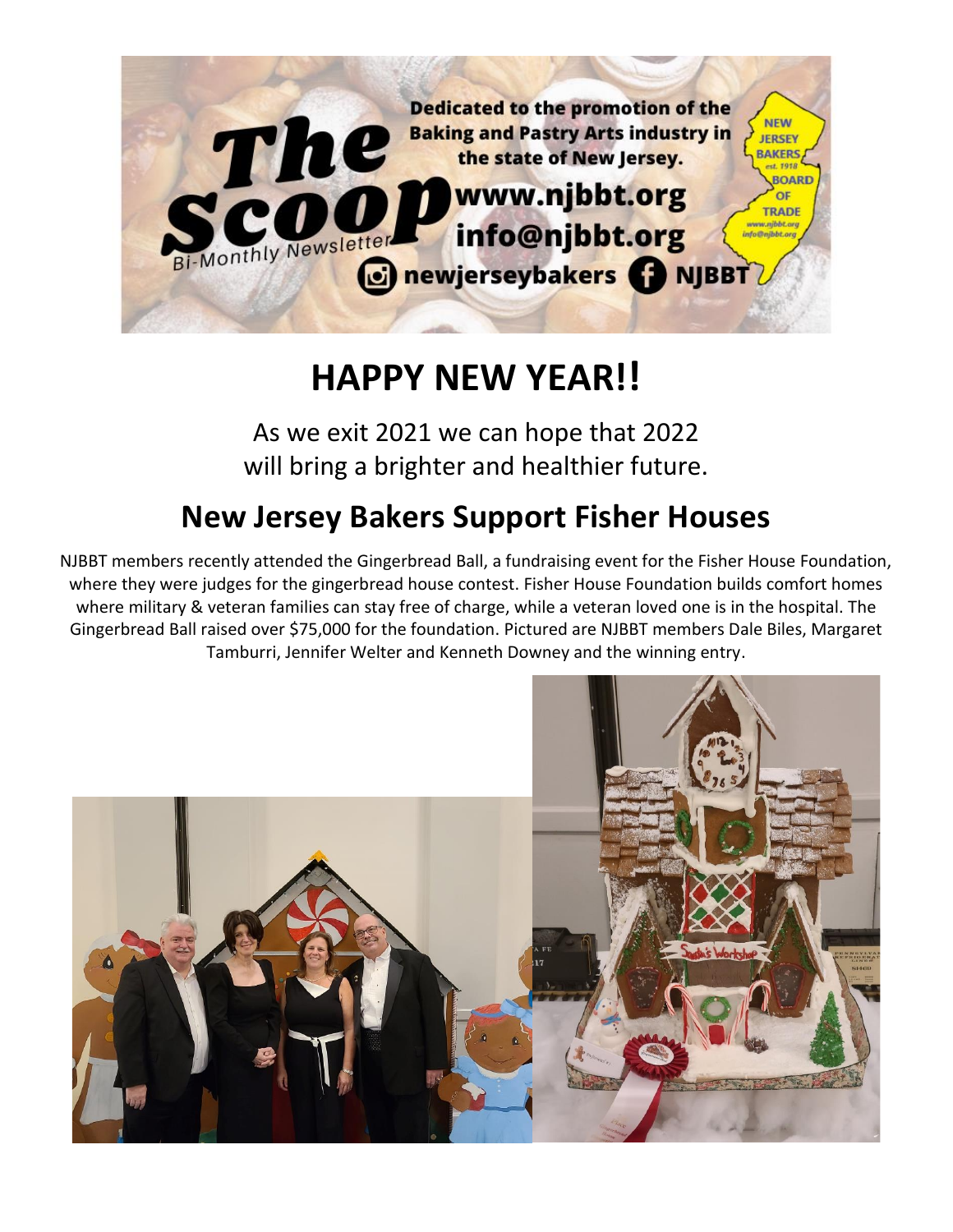

# **HAPPY NEW YEAR!!**

As we exit 2021 we can hope that 2022 will bring a brighter and healthier future.

# **New Jersey Bakers Support Fisher Houses**

NJBBT members recently attended the Gingerbread Ball, a fundraising event for the Fisher House Foundation, where they were judges for the gingerbread house contest. Fisher House Foundation builds comfort homes where military & veteran families can stay free of charge, while a veteran loved one is in the hospital. The Gingerbread Ball raised over \$75,000 for the foundation. Pictured are NJBBT members Dale Biles, Margaret Tamburri, Jennifer Welter and Kenneth Downey and the winning entry.

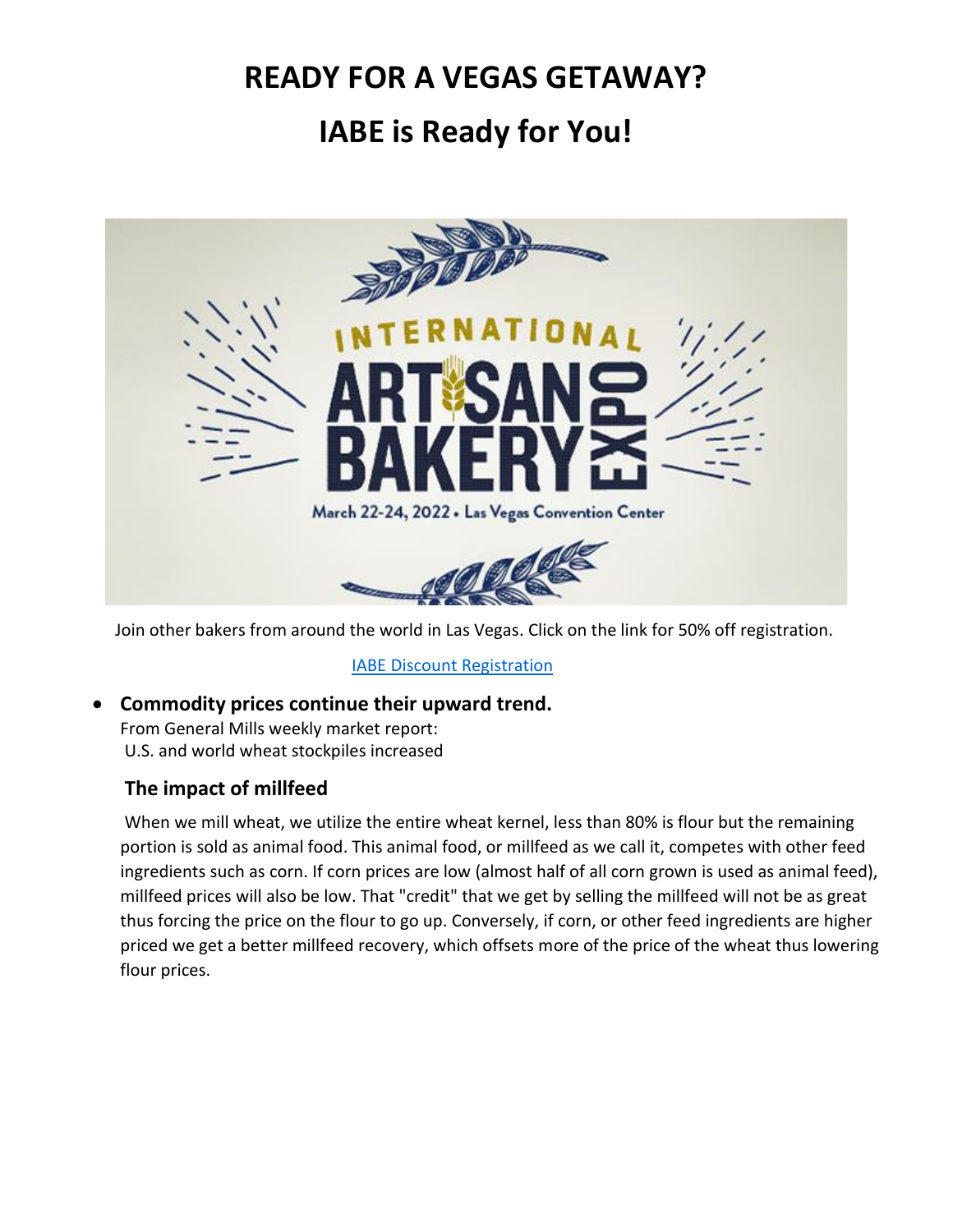## **READY FOR A VEGAS GETAWAY?**

# **IABE is Ready for You!**



Join other bakers from around the world in Las Vegas. Click on the link for 50% off registration.

[IABE Discount Registration](https://registration.experientevent.com/ShowABE221?flow=attendee&MarketingCode=NYN)

#### • **Commodity prices continue their upward trend.**

From General Mills weekly market report: U.S. and world wheat stockpiles increased

#### **The impact of millfeed**

When we mill wheat, we utilize the entire wheat kernel, less than 80% is flour but the remaining portion is sold as animal food. This animal food, or millfeed as we call it, competes with other feed ingredients such as corn. If corn prices are low (almost half of all corn grown is used as animal feed), millfeed prices will also be low. That "credit" that we get by selling the millfeed will not be as great thus forcing the price on the flour to go up. Conversely, if corn, or other feed ingredients are higher priced we get a better millfeed recovery, which offsets more of the price of the wheat thus lowering flour prices.